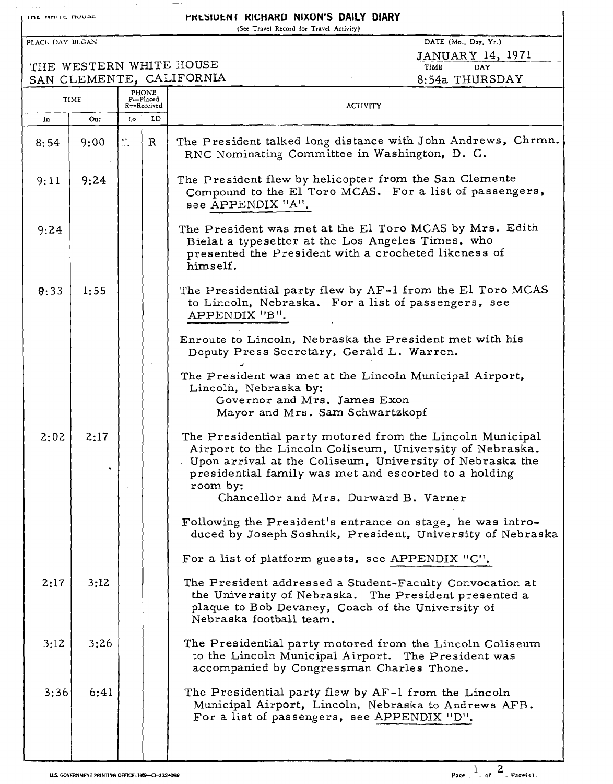**IDE WALLE AVUSE AND SETTLE PRESIDENT RICHARD NIXON'S DAILY DIARY** (See Travel Record for Travel Activity) PLACE DAY BEGAN DATE (Mo., Day. Yr.) JANUAR y 14. 1971 THE WESTERN WHITE HOUSE THE TIME DAY SAN CLEMENTE, CALIFORNIA 6:54a THURSDAY TIME  $P_{\text{HONE}}$  PHONE  $\underset{\text{R} \rightleftharpoons \text{Received}}{\text{P} = \text{Pic}}$  ACTIVITY In Out Lo LD R | The President talked long distance with John Andrews, Chrmn.  $8:54$  | 9:00 RNC Nominating Committee in Washington, D. C. The President flew by helicopter from the San Clemente  $9:11$  9:24 Compound to the El Toro MCAS. For a list of passengers. see APPENDIX "A". The President was met at the El Toro MCAS by Mrs. Edith 9:24 Bielat a typesetter at the Los Angeles Times, who presented the President with a crocheted likeness of himself.  $9:33$  1:55 The Presidential party flew by AF-l from the El Toro MCAS to Lincoln, Nebraska. For a list of passengers, see APPENDIX "B". Enroute to Lincoln, Nebraska the President met with his Deputy Press Secretary, Gerald L. Warren. The President was met at the Lincoln Municipal Airport, Lincoln, Nebraska by: Governor and Mrs. James Exon Mayor and Mrs. Sam Schwartzkopf  $2:02$  2:17 The Presidential party motored from the Lincoln Municipal Airport to the Lincoln Coliseum, University of Nebraska. Upon arrival at the Coliseum, University of Nebraska the l. presidential family was met and escorted to a holding room by: Chancellor and Mrs. Durward B. Varner Following the President's entrance on stage, he was introduced by Joseph Soshnik, President, University of Nebraska For a list of platform guests, see APPENDIX "C".  $2:17$  3:12 The President addressed a Student-Faculty Convocation at the University of Nebraska. The President presented a plaque to Bob Devaney, Coach of the University of Nebraska football team.  $3:12$  3:26 The Presidential party motored from the Lincoln Coliseum to the Lincoln Municipal Airport. The President was accompanied by Congressman Charles Thone. 3:36 6:41 The Presidential party flew by AF-l from the Lincoln Municipal Airport, Lincoln, Nebraska to Andrews AFB. For a list of passengers, see APPENDIX "D",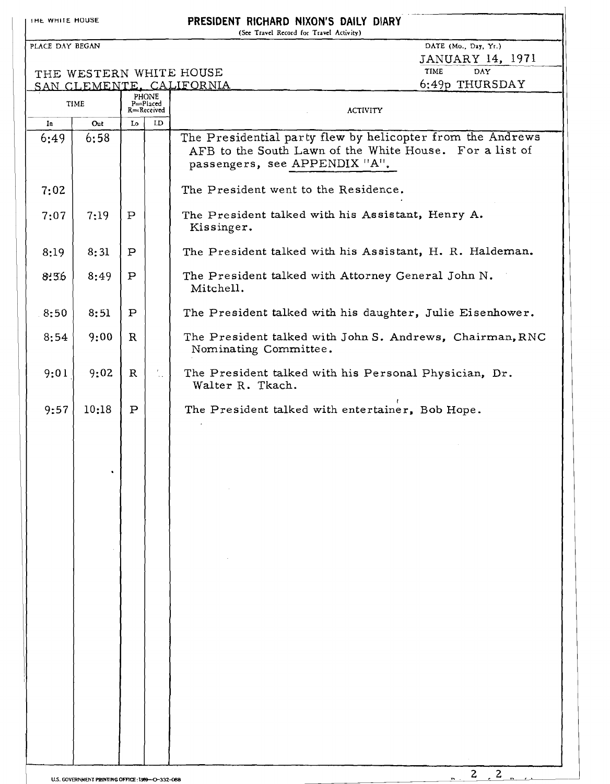IHE WHITE HOUSE **PRESIDENT RICHARD NIXON'S DAILY DIARY** (See Travel Record for Travel Activity) PLACE DAY BEGAN DATE (Mo., Day, Yr.)  $JANUARY$  14, 1971 THE WESTERN WHITE HOUSE<br>SAN CLEMENTE, CALIFORNIA 6:49p THURSDAY PHONE TIME P=Placed<br>R=Received ACTIVITY In Out Lo LD The Presidential party flew by helicopter from the Andrews 6:49 6:58 AFB to the South Lawn of the White House. For a list of passengers, see APPENDIX "A". The President went to the Residence. 7:02  $7:07$  |  $7:19$  | P The President talked with his Assistant, Henry A. Kissinger. 8:31 P The President talked with his Assistant, H. R. Haldeman. 8:19 8:36 8:49 P The President talked with Attorney General John N. Mitchell. 8:51 P The President talked with his daughter, Julie Eisenhower. 8:50 9:00 8:54 The President talked with John S. Andrews, Chairman,RNC R Nominating Committee. The President talked with his Personal Physician, Dr.  $9:01$  9:02 R  $\frac{1}{2}$  . Walter R. Tkach. (  $9:57$  10:18 P The President talked with entertainer, Bob Hope.

 $\overline{c}$  $\overline{z}$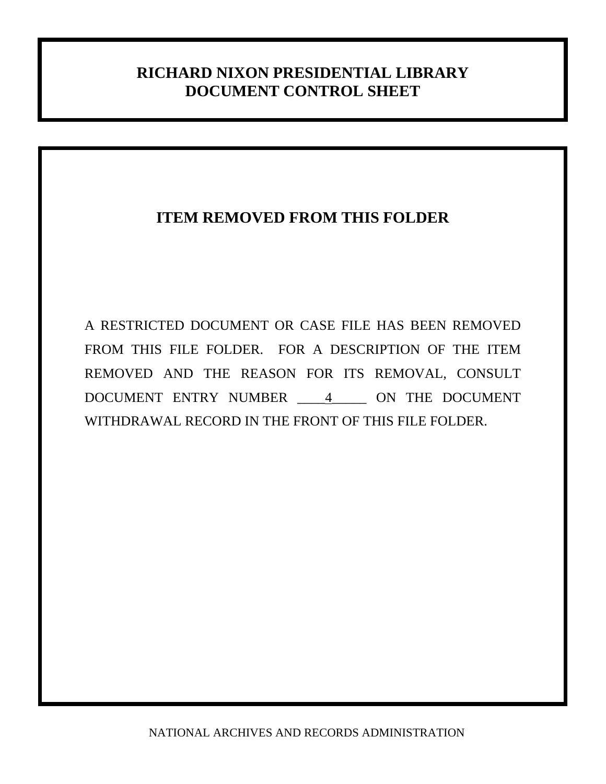## **RICHARD NIXON PRESIDENTIAL LIBRARY DOCUMENT CONTROL SHEET**

# **ITEM REMOVED FROM THIS FOLDER**

A RESTRICTED DOCUMENT OR CASE FILE HAS BEEN REMOVED FROM THIS FILE FOLDER. FOR A DESCRIPTION OF THE ITEM REMOVED AND THE REASON FOR ITS REMOVAL, CONSULT DOCUMENT ENTRY NUMBER \_\_\_\_4\_\_\_\_\_ ON THE DOCUMENT WITHDRAWAL RECORD IN THE FRONT OF THIS FILE FOLDER.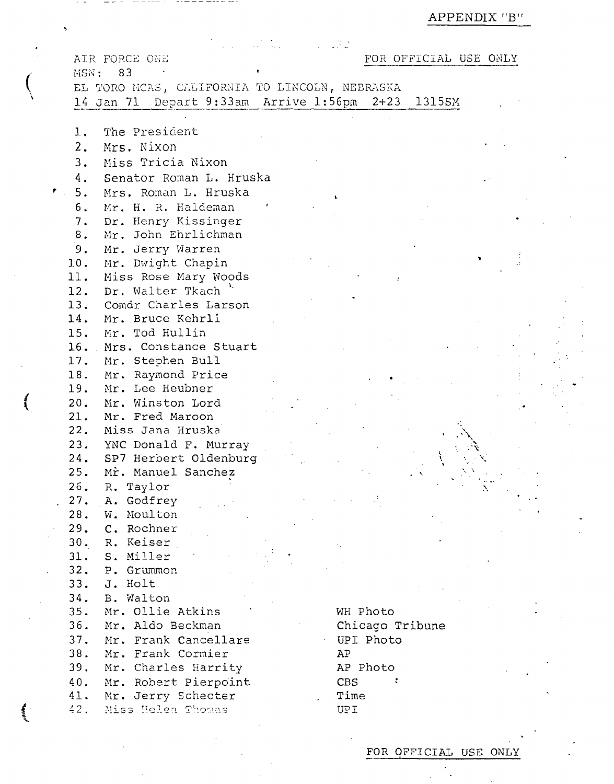APPENDIX "B"

|  |                 | AIR FORCE ONE                                     |  |            |           | FOR OFFICIAL USE ONLY |  |  |
|--|-----------------|---------------------------------------------------|--|------------|-----------|-----------------------|--|--|
|  |                 | MSN: 83                                           |  |            |           |                       |  |  |
|  |                 | EL TORO MCAS, CALIFORNIA TO LINCOLN, NEBRASKA     |  |            |           |                       |  |  |
|  |                 | 14 Jan 71 Depart 9:33am Arrive 1:56pm 2+23 1315SM |  |            |           |                       |  |  |
|  |                 |                                                   |  |            |           |                       |  |  |
|  | $\mathbf 1$ .   | The President                                     |  |            |           |                       |  |  |
|  | 2.              | Mrs. Nixon                                        |  |            |           |                       |  |  |
|  | 3.              | Miss Tricia Nixon                                 |  |            |           |                       |  |  |
|  |                 |                                                   |  |            |           |                       |  |  |
|  | 4.              | Senator Roman L. Hruska                           |  |            |           |                       |  |  |
|  | $\mathbf{r}$ 5. | Mrs. Roman L. Hruska                              |  |            |           |                       |  |  |
|  | 6.              | Mr. H. R. Haldeman                                |  |            |           |                       |  |  |
|  | 7.              | Dr. Henry Kissinger                               |  |            |           |                       |  |  |
|  | 8.              | Mr. John Ehrlichman                               |  |            |           |                       |  |  |
|  | 9.              | Mr. Jerry Warren                                  |  |            |           |                       |  |  |
|  | 10.             | Mr. Dwight Chapin                                 |  |            |           |                       |  |  |
|  | 11.             | Miss Rose Mary Woods                              |  |            |           |                       |  |  |
|  | 12.             | Dr. Walter Tkach<br>13. Comdr Charles Larson      |  |            |           |                       |  |  |
|  | 14.             | Mr. Bruce Kehrli                                  |  |            |           |                       |  |  |
|  | 15.             | Mr. Tod Hullin                                    |  |            |           |                       |  |  |
|  |                 | 16. Mrs. Constance Stuart                         |  |            |           |                       |  |  |
|  |                 | 17. Mr. Stephen Bull                              |  |            |           |                       |  |  |
|  | 18.             | Mr. Raymond Price                                 |  |            |           |                       |  |  |
|  | 19.             | Mr. Lee Heubner                                   |  |            |           |                       |  |  |
|  | 20.             | Mr. Winston Lord                                  |  |            |           |                       |  |  |
|  | 21.             | Mr. Fred Maroon                                   |  |            |           |                       |  |  |
|  | 22.             | Miss Jana Hruska                                  |  |            |           |                       |  |  |
|  |                 | 23. YNC Donald F. Murray                          |  |            |           |                       |  |  |
|  | 24.             | SP7 Herbert Oldenburg                             |  |            |           |                       |  |  |
|  | 25.             | Mr. Manuel Sanchez                                |  |            |           |                       |  |  |
|  | 26.             | R. Taylor                                         |  |            |           |                       |  |  |
|  | 27.             | A. Godfrey                                        |  |            |           |                       |  |  |
|  | 28.             | W. Moulton                                        |  |            |           |                       |  |  |
|  | 29.             | C. Rochner                                        |  |            |           |                       |  |  |
|  | 30.             | R. Keiser                                         |  |            |           |                       |  |  |
|  | 31.             | S. Miller                                         |  |            |           |                       |  |  |
|  | 32.             | P. Grummon                                        |  |            |           |                       |  |  |
|  | 33.             | J. Holt                                           |  |            |           |                       |  |  |
|  | 34.             | B. Walton                                         |  |            |           |                       |  |  |
|  | 35.             | Mr. Ollie Atkins                                  |  | WH Photo   |           |                       |  |  |
|  | 36.             | Mr. Aldo Beckman                                  |  |            |           | Chicago Tribune       |  |  |
|  | 37.             | Mr. Frank Cancellare                              |  |            | UPI Photo |                       |  |  |
|  | 38.             | Mr. Frank Cormier                                 |  | AP         |           |                       |  |  |
|  | 39.             | Mr. Charles Harrity                               |  | AP Photo   |           |                       |  |  |
|  | 40.             | Mr. Robert Pierpoint                              |  | <b>CBS</b> |           |                       |  |  |
|  | 41.             | Mr. Jerry Schecter                                |  | Time       |           |                       |  |  |
|  | 42.             | Miss Helen Thomas                                 |  | UPI        |           |                       |  |  |

-----------

**Allaha** 

 $\ddot{\phantom{a}}$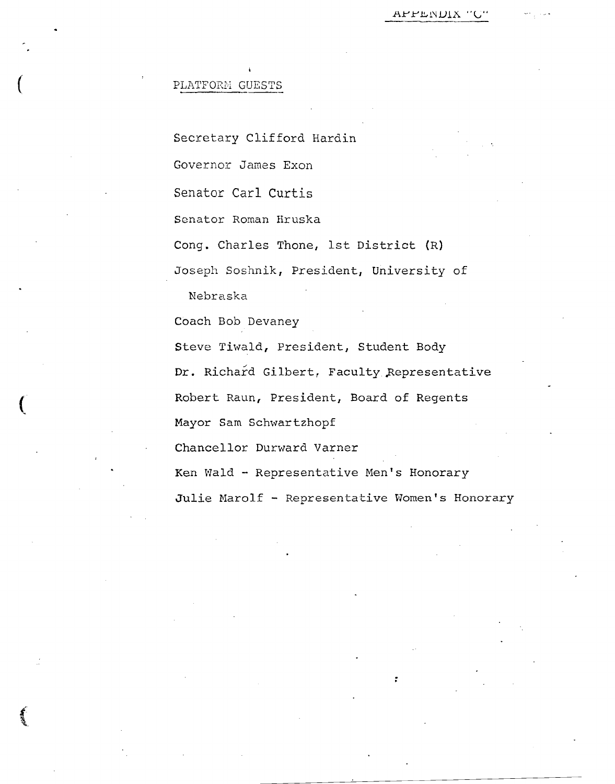Secretary Clifford Hardin Governor James Exon Senator Carl Curtis Senator Roman Hruska Cong. Charles Thone, 1st District (R) Joseph Soshnik, President, University of Nebraska Coach Bob Devaney

Steve Tiwald, President, Student Body Dr. Richard Gilbert, Faculty Representative Robert Raun, President, Board of Regents Mayor Sam Schwartzhopf Chancellor Durward Varner

Ken Wald - Representative Men's Honorary

Julie Marolf - Representative Women's Honorary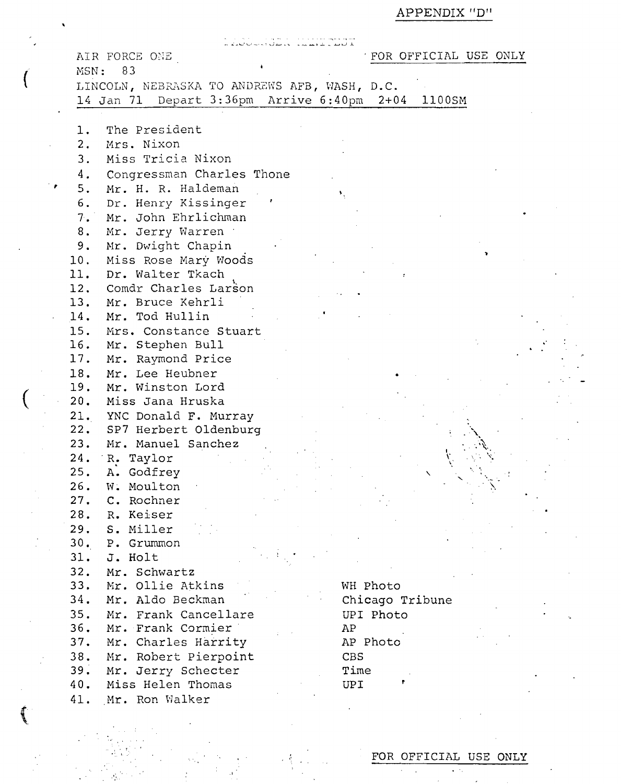APPENDIX "D"  $\,$ 

| MSN:                | AIR FORCE ONE<br>83                                                                        | FOR OFFICIAL USE ONLY |
|---------------------|--------------------------------------------------------------------------------------------|-----------------------|
|                     | LINCOLN, NEBRASKA TO ANDREWS AFB, WASH, D.C.<br>14 Jan 71 Depart 3:36pm Arrive 6:40pm 2+04 | 1100SM                |
| 1.                  | The President                                                                              |                       |
| 2.                  | Mrs. Nixon                                                                                 |                       |
| 3.                  | Miss Tricia Nixon                                                                          |                       |
| 4.                  | Congressman Charles Thone                                                                  |                       |
| $\rightarrow$<br>5. | Mr. H. R. Haldeman<br>٠.                                                                   |                       |
| б.<br>7.            | Dr. Henry Kissinger<br>Mr. John Ehrlichman                                                 |                       |
| 8.                  | Mr. Jerry Warren                                                                           |                       |
| 9.                  | Mr. Dwight Chapin                                                                          |                       |
| 10.                 | Miss Rose Mary Woods                                                                       |                       |
|                     | 11. Dr. Walter Tkach                                                                       |                       |
|                     | 12. Comdr Charles Larson                                                                   |                       |
|                     | 13. Mr. Bruce Kehrli                                                                       |                       |
| 15.                 | 14. Mr. Tod Hullin<br>Mrs. Constance Stuart                                                |                       |
|                     | 16. Mr. Stephen Bull                                                                       |                       |
|                     | 17. Mr. Raymond Price                                                                      |                       |
| 18.                 | Mr. Lee Heubner                                                                            |                       |
| 19.                 | Mr. Winston Lord                                                                           |                       |
| 20.                 | Miss Jana Hruska                                                                           |                       |
| 21.                 | YNC Donald F. Murray                                                                       |                       |
|                     | 22. SP7 Herbert Oldenburg<br>23. Mr. Manuel Sanchez                                        |                       |
| 24.                 | R. Taylor                                                                                  |                       |
| 25.                 | A. Godfrey                                                                                 |                       |
| 26.                 | W. Moulton                                                                                 |                       |
| 27.                 | C. Rochner                                                                                 |                       |
| 28.                 | R. Keiser                                                                                  |                       |
| 29.                 | S. Miller                                                                                  |                       |
| 30.<br>31.          | P. Grummon<br>J. Holt                                                                      |                       |
| 32.                 | Mr. Schwartz                                                                               |                       |
| 33.                 | Mr. Ollie Atkins                                                                           | WH Photo              |
| 34.                 | Mr. Aldo Beckman                                                                           | Chicago Tribune       |
| 35.                 | Mr. Frank Cancellare                                                                       | UPI Photo             |
| 36.                 | Mr. Frank Cormier<br>AP                                                                    |                       |
| 37.                 | Mr. Charles Harrity                                                                        | AP Photo              |
| 38.<br>39.          | Mr. Robert Pierpoint<br>CBS<br>Mr. Jerry Schecter<br>Time                                  |                       |
| 40.                 | Miss Helen Thomas<br>UPI                                                                   |                       |
| 41.                 | Mr. Ron Walker                                                                             |                       |
|                     |                                                                                            |                       |

 $\frac{1}{2}$  ,  $\frac{1}{2}$